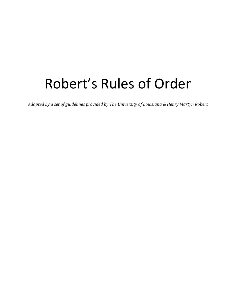# Robert's Rules of Order

*Adapted by a set of guidelines provided by The University of Louisiana & Henry Martyn Robert*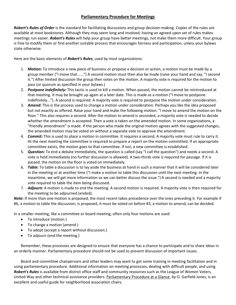## **Parliamentary Procedure for Meetings**

*Robert's Rules of Order* is the standard for facilitating discussions and group decision-making. Copies of the rules are available at most bookstores. Although they may seem long and involved, having an agreed upon set of rules makes meetings run easier. *Robert's Rules* will help your group have better meetings, not make them more difficult. Your group is free to modify them or find another suitable process that encourages fairness and participation, unless your bylaws state otherwise.

Here are the basic elements of *Robert's Rules*, used by most organizations:

- 1. *Motion:* To introduce a new piece of business or propose a decision or action, a motion must be made by a group member ("I move that......") A second motion must then also be made (raise your hand and say, "I second it.") After limited discussion the group then votes on the motion. A majority vote is required for the motion to pass (or quorum as specified in your bylaws.)
- 2. *Postpone Indefinitely:* This tactic is used to kill a motion. When passed, the motion cannot be reintroduced at that meeting. It may be brought up again at a later date. This is made as a motion ("I move to postpone indefinitely..."). A second is required. A majority vote is required to postpone the motion under consideration.
- 3. *Amend:* This is the process used to change a motion under consideration. Perhaps you like the idea proposed but not exactly as offered. Raise your hand and make the following motion: "I move to amend the motion on the floor." This also requires a second. After the motion to amend is seconded, a majority vote is needed to decide whether the amendment is accepted. Then a vote is taken on the amended motion. In some organizations, a "friendly amendment" is made. If the person who made the original motion agrees with the suggested changes, the amended motion may be voted on without a separate vote to approve the amendment.
- 4. *Commit:* This is used to place a motion in committee. It requires a second. A majority vote must rule to carry it. At the next meeting the committee is required to prepare a report on the motion committed. If an appropriate committee exists, the motion goes to that committee. If not, a new committee is established.
- 5. *Question:* To end a debate immediately, the question is called (say "I call the question") and needs a second. A vote is held immediately (no further discussion is allowed). A two-thirds vote is required for passage. If it is passed, the motion on the floor is voted on immediately.
- 6. *Table:* To table a discussion is to lay aside the business at hand in such a manner that it will be considered later in the meeting or at another time ("I make a motion to table this discussion until the next meeting. In the meantime, we will get more information so we can better discuss the issue.") A second is needed and a majority vote required to table the item being discussed.
- 7. *Adjourn:* A motion is made to end the meeting. A second motion is required. A majority vote is then required for the meeting to be adjourned (ended).

*Note:* If more than one motion is proposed, the most recent takes precedence over the ones preceding it. For example if #6, a motion to table the discussion, is proposed, it must be voted on before #3, a motion to amend, can be decided.

In a smaller meeting, like a committee or board meeting, often only four motions are used:

- To introduce (motion.)
- To change a motion (amend.)
- To adopt (accept a report without discussion.)
- To adjourn (end the meeting.)

Remember, these processes are designed to ensure that everyone has a chance to participate and to share ideas in an orderly manner. Parliamentary procedure should not be used to prevent discussion of important issues.

Board and committee chairpersons and other leaders may want to get some training in meeting facilitation and in using parliamentary procedure. Additional information on meeting processes, dealing with difficult people, and using *Robert's Rules* is available from district office staff and community resources such as the League of Women Voters, United Way and other technical assistance providers. Parliamentary Procedure at a Glance, by O. Garfield Jones, is an excellent and useful guide for neighborhood association chairs.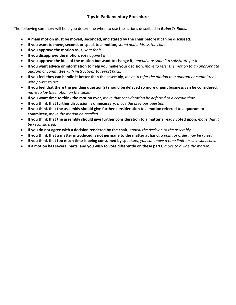## **Tips in Parliamentary Procedure**

The following summary will help you determine when to use the actions described in *Robert's Rules*.

- **A main motion must be moved, seconded, and stated by the chair before it can be discussed.**
- **If you want to move, second, or speak to a motion,** *stand and address the chair.*
- **If you approve the motion as is**, *vote for it*.
- **If you disapprove the motion**, *vote against it*.
- **If you approve the idea of the motion but want to change it**, *amend it or submit a substitute for it*.
- **If you want advice or information to help you make your decision**, *move to refer the motion to an appropriate quorum or committee with instructions to report back.*
- **If you feel they can handle it better than the assembly**, *move to refer the motion to a quorum or committee with power to act*.
- **If you feel that there the pending question(s) should be delayed so more urgent business can be considered**, *move to lay the motion on the table*.
- **If you want time to think the motion over**, *move that consideration be deferred to a certain time*.
- **If you think that further discussion is unnecessary**, *move the previous question*.
- **If you think that the assembly should give further consideration to a motion referred to a quorum or committee**, *move the motion be recalled*.
- **If you think that the assembly should give further consideration to a matter already voted upon**, *move that it be reconsidered*.
- **If you do not agree with a decision rendered by the chair**, *appeal the decision to the assembly*.
- **If you think that a matter introduced is not germane to the matter at hand**, *a point of order may be raised*.
- **If you think that too much time is being consumed by speakers**, *you can move a time limit on such speeches*.
- **If a motion has several parts, and you wish to vote differently on these parts**, *move to divide the motion*.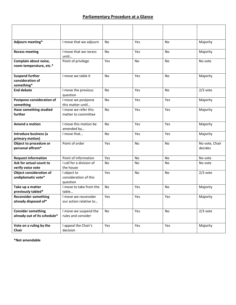# **Parliamentary Procedure at a Glance**

| Adjourn meeting*                                          | I move that we adjourn                           | <b>No</b> | Yes       | <b>No</b> | Majority                  |
|-----------------------------------------------------------|--------------------------------------------------|-----------|-----------|-----------|---------------------------|
| <b>Recess meeting</b>                                     | I move that we recess<br>until                   | <b>No</b> | Yes       | <b>No</b> | Majority                  |
| Complain about noise,<br>room temperature, etc.*          | Point of privilege                               | Yes       | <b>No</b> | No        | No vote                   |
| <b>Suspend further</b><br>consideration of<br>something*  | I move we table it                               | No.       | Yes       | No        | Majority                  |
| <b>End debate</b>                                         | I move the previous<br>question                  | No.       | Yes       | No        | $2/3$ vote                |
| Postpone consideration of<br>something                    | I move we postpone<br>this matter until          | <b>No</b> | Yes       | Yes       | Majority                  |
| Have something studied<br>further                         | I move we refer this<br>matter to committee      | <b>No</b> | Yes       | Yes       | Majority                  |
| Amend a motion                                            | I move this motion be<br>amended by              | No        | Yes       | Yes       | Majority                  |
| Introduce business (a<br>primary motion)                  | I move that                                      | No        | Yes       | Yes       | Majority                  |
| Object to procedure or<br>personal affront*               | Point of order                                   | Yes       | <b>No</b> | No        | No vote, Chair<br>decides |
| <b>Request information</b>                                | Point of information                             | Yes       | <b>No</b> | No        | No vote                   |
| Ask for actual count to<br>verify voice vote              | I call for a division of<br>the house            | No.       | <b>No</b> | No        | No vote                   |
| <b>Object consideration of</b><br>undiplomatic vote*      | I object to<br>consideration of this<br>question | Yes       | No        | No        | $2/3$ vote                |
| Take up a matter<br>previously tabled*                    | I move to take from the<br>table                 | No        | Yes       | No        | Majority                  |
| <b>Reconsider something</b><br>already disposed of*       | I move we reconsider<br>our action relative to   | Yes       | Yes       | Yes       | Majority                  |
| <b>Consider something</b><br>already out of its schedule* | I move we suspend the<br>rules and consider      | No        | Yes       | No        | $2/3$ vote                |
| Vote on a ruling by the<br>Chair                          | I appeal the Chair's<br>decision                 | Yes       | Yes       | Yes       | Majority                  |

**\*Not amendable**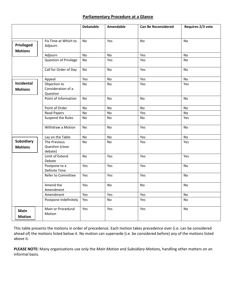### **Parliamentary Procedure at a Glance**

|                                     |                                                | <b>Debatable</b> | <b>Amendable</b> | <b>Can Be Reconsidered</b> | Requires 2/3 vote |
|-------------------------------------|------------------------------------------------|------------------|------------------|----------------------------|-------------------|
|                                     |                                                |                  |                  |                            |                   |
| Privileged<br><b>Motions</b>        | Fix Time at Which to<br>Adjourn                | <b>No</b>        | Yes              | No                         | <b>No</b>         |
|                                     | Adjourn                                        | <b>No</b>        | No               | Yes                        | $\mathsf{No}$     |
|                                     | Question of Privilege                          | <b>No</b>        | Yes              | Yes                        | <b>No</b>         |
|                                     | Call for Order of Day                          | No               | No               | Yes                        | No                |
|                                     | Appeal                                         | Yes              | No               | Yes                        | No                |
| Incidental<br><b>Motions</b>        | Objection to<br>Consideration of a<br>Question | <b>No</b>        | No               | Yes                        | Yes               |
|                                     | Point of Information                           | No               | No               | No                         | No                |
|                                     | Point of Order                                 | No               | No               | No                         | No                |
|                                     | <b>Read Papers</b>                             | No               | No               | Yes                        | No                |
|                                     | Suspend the Rules                              | No               | No               | No                         | Yes               |
|                                     | Withdraw a Motion                              | No               | No               | Yes                        | No                |
|                                     | Lay on the Table                               | No               | No               | Yes                        | No                |
| <b>Subsidiary</b><br><b>Motions</b> | The Previous<br>Question (close<br>debate)     | <b>No</b>        | <b>No</b>        | Yes                        | Yes               |
|                                     | Limit of Extend<br>Debate                      | <b>No</b>        | Yes              | Yes                        | Yes               |
|                                     | Postpone to a<br>Definite Time                 | Yes              | Yes              | Yes                        | No                |
|                                     | Refer to Committee                             | Yes              | Yes              | Yes                        | <b>No</b>         |
|                                     | Amend the<br>Amendment                         | Yes              | No               | No                         | No                |
|                                     | Amendment                                      | Yes              | Yes              | Yes                        | No                |
|                                     | Postpone Indefinitely                          | Yes              | <b>No</b>        | Yes                        | <b>No</b>         |
| Main<br><b>Motion</b>               | Main or Procedural<br>Motion                   | Yes              | Yes              | Yes                        | No                |

This table presents the motions in order of precedence. Each motion takes precedence over (i.e. can be considered ahead of) the motions listed below it. No motion can supersede (i.e. be considered before) any of the motions listed above it.

**PLEASE NOTE:** Many organizations use only the *Main Motion* and *Subsidiary Motions*, handling other matters on an informal basis.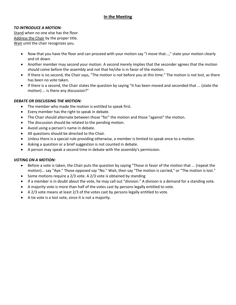## **In the Meeting**

#### *TO INTRODUCE A MOTION:*

Stand when no one else has the floor. Address the Chair by the proper title. Wait until the chair recognizes you.

- Now that you have the floor and can proceed with your motion say "I move that...," state your motion clearly and sit down.
- Another member may second your motion. A second merely implies that the seconder agrees that the motion should come before the assembly and not that he/she is in favor of the motion.
- If there is no second, the Chair says, "The motion is not before you at this time." The motion is not lost, as there has been no vote taken.
- If there is a second, the Chair states the question by saying "It has been moved and seconded that ... (state the motion) … is there any discussion?"

#### *DEBATE OR DISCUSSING THE MOTION:*

- The member who made the motion is entitled to speak first.
- Every member has the right to speak in debate.
- The Chair should alternate between those "for" the motion and those "against" the motion.
- The discussion should be related to the pending motion.
- Avoid using a person's name in debate.
- All questions should be directed to the Chair.
- Unless there is a special rule providing otherwise, a member is limited to speak once to a motion.
- Asking a question or a brief suggestion is not counted in debate.
- A person may speak a second time in debate with the assembly's permission.

#### *VOTING ON A MOTION:*

- Before a vote is taken, the Chair puts the question by saying "Those in favor of the motion that ... (repeat the motion)... say "Aye." Those opposed say "No." Wait, then say "The motion is carried," or "The motion is lost."
- Some motions require a 2/3 vote. A 2/3 vote is obtained by standing
- If a member is in doubt about the vote, he may call out "division." A division is a demand for a standing vote.
- A majority vote is more than half of the votes cast by persons legally entitled to vote.
- A 2/3 vote means at least 2/3 of the votes cast by persons legally entitled to vote.
- A tie vote is a lost vote, since it is not a majority.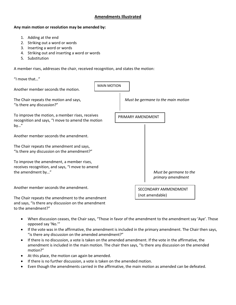## **Amendments Illustrated**

#### **Any main motion or resolution may be amended by:**

- 1. Adding at the end
- 2. Striking out a word or words
- 3. Inserting a word or words
- 4. Striking out and inserting a word or words
- 5. Substitution

to the amendment?"

A member rises, addresses the chair, received recognition, and states the motion:

| "I move that"                                                                                                      |                    |                                         |                   |  |                                             |
|--------------------------------------------------------------------------------------------------------------------|--------------------|-----------------------------------------|-------------------|--|---------------------------------------------|
| Another member seconds the motion.                                                                                 | <b>MAIN MOTION</b> |                                         |                   |  |                                             |
| The Chair repeats the motion and says,<br>"Is there any discussion?"                                               |                    |                                         |                   |  | Must be germane to the main motion          |
| To improve the motion, a member rises, receives<br>recognition and says, "I move to amend the motion<br>by"        |                    |                                         | PRIMARY AMENDMENT |  |                                             |
| Another member seconds the amendment.                                                                              |                    |                                         |                   |  |                                             |
| The Chair repeats the amendment and says,<br>"Is there any discussion on the amendment?"                           |                    |                                         |                   |  |                                             |
| To improve the amendment, a member rises,<br>receives recognition, and says, "I move to amend<br>the amendment by" |                    |                                         |                   |  | Must be germane to the<br>primary amendment |
| Another member seconds the amendment.                                                                              |                    | SECONDARY AMMENDMENT<br>(not amendable) |                   |  |                                             |
| The Chair repeats the amendment to the amendment<br>and says, "Is there any discussion on the amendment            |                    |                                         |                   |  |                                             |

- When discussion ceases, the Chair says, "Those in favor of the amendment to the amendment say 'Aye'. Those opposed say 'No.'"
- If the vote was in the affirmative, the amendment is included in the primary amendment. The Chair then says, "is there any discussion on the amended amendment?"
- If there is no discussion, a vote is taken on the amended amendment. If the vote in the affirmative, the amendment is included in the main motion. The chair then says, "Is there any discussion on the amended motion?"
- At this place, the motion can again be amended.
- If there is no further discussion, a vote is taken on the amended motion.
- Even though the amendments carried in the affirmative, the main motion as amended can be defeated.